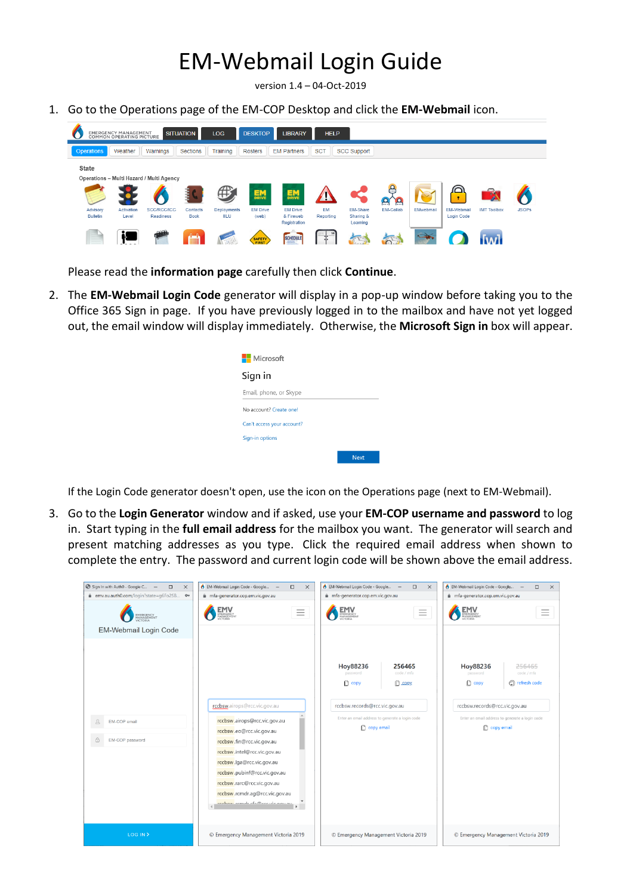## EM-Webmail Login Guide

version 1.4 – 04-Oct-2019

1. Go to the Operations page of the EM-COP Desktop and click the **EM-Webmail** icon.

|                                      | EMERGENCY MANAGEMENT<br>COMMON OPERATING PICTURE |                                                                             | <b>SITUATION</b> | LOG                        | <b>DESKTOP</b>                                            | <b>LIBRARY</b>                                                                | <b>HELP</b>            |                                          |                               |           |                               |                         |              |
|--------------------------------------|--------------------------------------------------|-----------------------------------------------------------------------------|------------------|----------------------------|-----------------------------------------------------------|-------------------------------------------------------------------------------|------------------------|------------------------------------------|-------------------------------|-----------|-------------------------------|-------------------------|--------------|
| <b>Operations</b>                    | Weather                                          | Warnings                                                                    | <b>Sections</b>  | Training                   | Rosters                                                   | <b>EM Partners</b>                                                            | <b>SCT</b>             | <b>SCC Support</b>                       |                               |           |                               |                         |              |
| State<br>Advisory<br><b>Bulletin</b> | Activation<br>Level                              | Operations - Multi Hazard / Multi Agency<br><b>SCC/RCC/ICC</b><br>Readiness | Contacts<br>Book | Deployments<br><b>IILU</b> | <b>EM</b><br><sub>DRIVE</sub><br><b>EM Drive</b><br>(web) | <b>EM</b><br><sub>DRIVE</sub><br><b>EM Drive</b><br>& Fireweb<br>Registration | <b>EM</b><br>Reporting | <b>EM-Share</b><br>Sharing &<br>Learning | க<br>A<br>$\sum$<br>EM-Collab | EMwebmail | O<br>EM-Webmail<br>Login Code | ņ<br><b>IMT Toolbox</b> | <b>JSOPs</b> |
| <b>ISSUED</b>                        | M                                                |                                                                             |                  |                            | SAFETY<br><b>FIRST</b>                                    | <b>SCHEDULE</b>                                                               | 'eje                   |                                          |                               |           |                               |                         |              |

Please read the **information page** carefully then click **Continue**.

2. The **EM-Webmail Login Code** generator will display in a pop-up window before taking you to the Office 365 Sign in page. If you have previously logged in to the mailbox and have not yet logged out, the email window will display immediately. Otherwise, the **Microsoft Sign in** box will appear.

| <b>Microsoft</b>           |             |  |  |  |  |
|----------------------------|-------------|--|--|--|--|
| Sign in                    |             |  |  |  |  |
| Email, phone, or Skype     |             |  |  |  |  |
| No account? Create one!    |             |  |  |  |  |
| Can't access your account? |             |  |  |  |  |
| Sign-in options            |             |  |  |  |  |
|                            | <b>Next</b> |  |  |  |  |

If the Login Code generator doesn't open, use the icon on the Operations page (next to EM-Webmail).

3. Go to the **Login Generator** window and if asked, use your **EM-COP username and password** to log in. Start typing in the **full email address** for the mailbox you want. The generator will search and present matching addresses as you type. Click the required email address when shown to complete the entry. The password and current login code will be shown above the email address.

| Sign In with Auth0 - Google C<br>$\Box$<br>$\times$<br>$\overline{\phantom{m}}$ | 6 EM-Webmail Login Code - Google<br>$\Box$<br>$\times$          | BM-Webmail Login Code - Google<br>$\times$<br>$\Box$                        | 6 EM-Webmail Login Code - Google<br>$\Box$<br>$\times$                          |
|---------------------------------------------------------------------------------|-----------------------------------------------------------------|-----------------------------------------------------------------------------|---------------------------------------------------------------------------------|
| emv.au.auth0.com/login?state=g6Fo2SB 0-                                         | mfa-generator.cop.em.vic.gov.au                                 | mfa-generator.cop.em.vic.gov.au                                             | mfa-generator.cop.em.vic.gov.au                                                 |
|                                                                                 | EMV<br>Ξ<br>MERGENCY<br>VANAGEMENT                              | Ξ                                                                           | Ξ<br>MERGENC                                                                    |
| <b>EM-Webmail Login Code</b>                                                    |                                                                 |                                                                             |                                                                                 |
|                                                                                 |                                                                 | 256465<br>Hoy88236<br>code / mfa<br>password<br>$\Box$ copy<br>$\Box$ copy. | Hoy88236<br>256465<br>password<br>code / mfa<br>$\Box$ copy<br>(C) refresh code |
|                                                                                 | rccbsw.airops@rcc.vic.gov.au                                    | rccbsw.records@rcc.vic.gov.au                                               | rccbsw.records@rcc.vic.gov.au                                                   |
| $\mathcal{L}% _{A}=\mathcal{L}_{A}\times\mathcal{L}_{A}$<br>EM-COP email        | rccbsw.airops@rcc.vic.gov.au                                    | Enter an email address to generate a login code                             | Enter an email address to generate a login code                                 |
|                                                                                 | rccbsw.eo@rcc.vic.gov.au                                        | C copy email                                                                | C copy email                                                                    |
| $_{\oplus}$<br>EM-COP password                                                  | rccbsw.fin@rcc.vic.gov.au                                       |                                                                             |                                                                                 |
|                                                                                 | rccbsw.intel@rcc.vic.gov.au                                     |                                                                             |                                                                                 |
|                                                                                 | rccbsw.lga@rcc.vic.gov.au                                       |                                                                             |                                                                                 |
|                                                                                 | rccbsw.pubinf@rcc.vic.gov.au                                    |                                                                             |                                                                                 |
|                                                                                 | rccbsw.rarc@rcc.vic.gov.au                                      |                                                                             |                                                                                 |
|                                                                                 | rccbsw.rcmdr.ag@rcc.vic.gov.au<br>recheur remde da@reción animi |                                                                             |                                                                                 |
|                                                                                 |                                                                 |                                                                             |                                                                                 |
|                                                                                 |                                                                 |                                                                             |                                                                                 |
| LOG IN >                                                                        | © Emergency Management Victoria 2019                            | © Emergency Management Victoria 2019                                        | © Emergency Management Victoria 2019                                            |